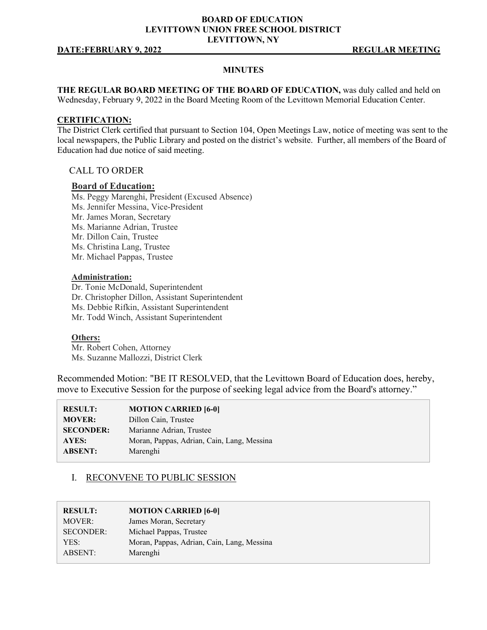#### **BOARD OF EDUCATION LEVITTOWN UNION FREE SCHOOL DISTRICT LEVITTOWN, NY**

#### **DATE:FEBRUARY 9, 2022** REGULAR MEETING

#### **MINUTES**

**THE REGULAR BOARD MEETING OF THE BOARD OF EDUCATION,** was duly called and held on Wednesday, February 9, 2022 in the Board Meeting Room of the Levittown Memorial Education Center.

#### **CERTIFICATION:**

The District Clerk certified that pursuant to Section 104, Open Meetings Law, notice of meeting was sent to the local newspapers, the Public Library and posted on the district's website. Further, all members of the Board of Education had due notice of said meeting.

#### CALL TO ORDER

#### **Board of Education:**

Ms. Peggy Marenghi, President (Excused Absence) Ms. Jennifer Messina, Vice-President Mr. James Moran, Secretary Ms. Marianne Adrian, Trustee Mr. Dillon Cain, Trustee Ms. Christina Lang, Trustee Mr. Michael Pappas, Trustee

#### **Administration:**

Dr. Tonie McDonald, Superintendent Dr. Christopher Dillon, Assistant Superintendent Ms. Debbie Rifkin, Assistant Superintendent Mr. Todd Winch, Assistant Superintendent

#### **Others:**

Mr. Robert Cohen, Attorney Ms. Suzanne Mallozzi, District Clerk

Recommended Motion: "BE IT RESOLVED, that the Levittown Board of Education does, hereby, move to Executive Session for the purpose of seeking legal advice from the Board's attorney."

| <b>RESULT:</b>   | <b>MOTION CARRIED [6-0]</b>                |
|------------------|--------------------------------------------|
| <b>MOVER:</b>    | Dillon Cain, Trustee                       |
| <b>SECONDER:</b> | Marianne Adrian, Trustee                   |
| AYES:            | Moran, Pappas, Adrian, Cain, Lang, Messina |
| <b>ABSENT:</b>   | Marenghi                                   |
|                  |                                            |

### I. RECONVENE TO PUBLIC SESSION

| James Moran, Secretary<br>Michael Pappas, Trustee<br>Moran, Pappas, Adrian, Cain, Lang, Messina<br>YES:<br>ABSENT: | <b>RESULT:</b>   | <b>MOTION CARRIED [6-0]</b> |
|--------------------------------------------------------------------------------------------------------------------|------------------|-----------------------------|
|                                                                                                                    | MOVER:           |                             |
|                                                                                                                    | <b>SECONDER:</b> |                             |
|                                                                                                                    |                  |                             |
|                                                                                                                    |                  | Marenghi                    |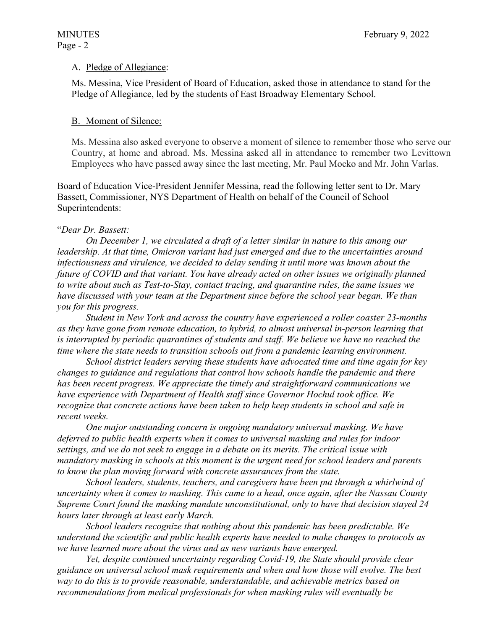### A. Pledge of Allegiance:

Ms. Messina, Vice President of Board of Education, asked those in attendance to stand for the Pledge of Allegiance, led by the students of East Broadway Elementary School.

### B. Moment of Silence:

Ms. Messina also asked everyone to observe a moment of silence to remember those who serve our Country, at home and abroad. Ms. Messina asked all in attendance to remember two Levittown Employees who have passed away since the last meeting, Mr. Paul Mocko and Mr. John Varlas.

Board of Education Vice-President Jennifer Messina, read the following letter sent to Dr. Mary Bassett, Commissioner, NYS Department of Health on behalf of the Council of School Superintendents:

### "*Dear Dr. Bassett:*

*On December 1, we circulated a draft of a letter similar in nature to this among our leadership. At that time, Omicron variant had just emerged and due to the uncertainties around infectiousness and virulence, we decided to delay sending it until more was known about the future of COVID and that variant. You have already acted on other issues we originally planned to write about such as Test-to-Stay, contact tracing, and quarantine rules, the same issues we have discussed with your team at the Department since before the school year began. We than you for this progress.* 

*Student in New York and across the country have experienced a roller coaster 23-months as they have gone from remote education, to hybrid, to almost universal in-person learning that is interrupted by periodic quarantines of students and staff. We believe we have no reached the time where the state needs to transition schools out from a pandemic learning environment.* 

*School district leaders serving these students have advocated time and time again for key changes to guidance and regulations that control how schools handle the pandemic and there has been recent progress. We appreciate the timely and straightforward communications we have experience with Department of Health staff since Governor Hochul took office. We recognize that concrete actions have been taken to help keep students in school and safe in recent weeks.* 

*One major outstanding concern is ongoing mandatory universal masking. We have deferred to public health experts when it comes to universal masking and rules for indoor settings, and we do not seek to engage in a debate on its merits. The critical issue with mandatory masking in schools at this moment is the urgent need for school leaders and parents to know the plan moving forward with concrete assurances from the state.* 

*School leaders, students, teachers, and caregivers have been put through a whirlwind of uncertainty when it comes to masking. This came to a head, once again, after the Nassau County Supreme Court found the masking mandate unconstitutional, only to have that decision stayed 24 hours later through at least early March.* 

*School leaders recognize that nothing about this pandemic has been predictable. We understand the scientific and public health experts have needed to make changes to protocols as we have learned more about the virus and as new variants have emerged.* 

*Yet, despite continued uncertainty regarding Covid-19, the State should provide clear guidance on universal school mask requirements and when and how those will evolve. The best way to do this is to provide reasonable, understandable, and achievable metrics based on recommendations from medical professionals for when masking rules will eventually be*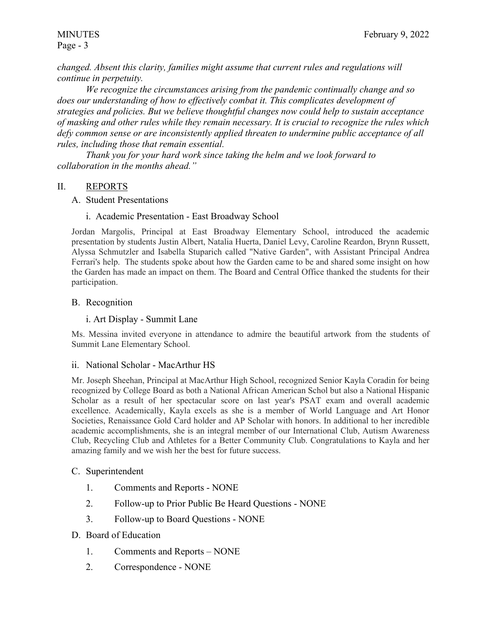# Page - 3

*changed. Absent this clarity, families might assume that current rules and regulations will continue in perpetuity.* 

*We recognize the circumstances arising from the pandemic continually change and so does our understanding of how to effectively combat it. This complicates development of strategies and policies. But we believe thoughtful changes now could help to sustain acceptance of masking and other rules while they remain necessary. It is crucial to recognize the rules which defy common sense or are inconsistently applied threaten to undermine public acceptance of all rules, including those that remain essential.* 

*Thank you for your hard work since taking the helm and we look forward to collaboration in the months ahead."* 

# II. REPORTS

- A. Student Presentations
	- i. Academic Presentation East Broadway School

Jordan Margolis, Principal at East Broadway Elementary School, introduced the academic presentation by students Justin Albert, Natalia Huerta, Daniel Levy, Caroline Reardon, Brynn Russett, Alyssa Schmutzler and Isabella Stuparich called "Native Garden", with Assistant Principal Andrea Ferrari's help. The students spoke about how the Garden came to be and shared some insight on how the Garden has made an impact on them. The Board and Central Office thanked the students for their participation.

# B. Recognition

# i. Art Display - Summit Lane

Ms. Messina invited everyone in attendance to admire the beautiful artwork from the students of Summit Lane Elementary School.

# ii. National Scholar - MacArthur HS

Mr. Joseph Sheehan, Principal at MacArthur High School, recognized Senior Kayla Coradin for being recognized by College Board as both a National African American Schol but also a National Hispanic Scholar as a result of her spectacular score on last year's PSAT exam and overall academic excellence. Academically, Kayla excels as she is a member of World Language and Art Honor Societies, Renaissance Gold Card holder and AP Scholar with honors. In additional to her incredible academic accomplishments, she is an integral member of our International Club, Autism Awareness Club, Recycling Club and Athletes for a Better Community Club. Congratulations to Kayla and her amazing family and we wish her the best for future success.

# C. Superintendent

- 1. Comments and Reports NONE
- 2. Follow-up to Prior Public Be Heard Questions NONE
- 3. Follow-up to Board Questions NONE
- D. Board of Education
	- 1. Comments and Reports NONE
	- 2. Correspondence NONE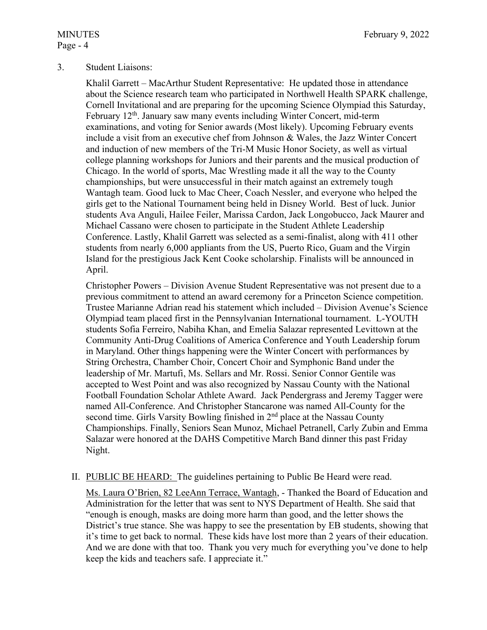# Page - 4

### 3. Student Liaisons:

Khalil Garrett – MacArthur Student Representative: He updated those in attendance about the Science research team who participated in Northwell Health SPARK challenge, Cornell Invitational and are preparing for the upcoming Science Olympiad this Saturday, February  $12<sup>th</sup>$ . January saw many events including Winter Concert, mid-term examinations, and voting for Senior awards (Most likely). Upcoming February events include a visit from an executive chef from Johnson & Wales, the Jazz Winter Concert and induction of new members of the Tri-M Music Honor Society, as well as virtual college planning workshops for Juniors and their parents and the musical production of Chicago. In the world of sports, Mac Wrestling made it all the way to the County championships, but were unsuccessful in their match against an extremely tough Wantagh team. Good luck to Mac Cheer, Coach Nessler, and everyone who helped the girls get to the National Tournament being held in Disney World. Best of luck. Junior students Ava Anguli, Hailee Feiler, Marissa Cardon, Jack Longobucco, Jack Maurer and Michael Cassano were chosen to participate in the Student Athlete Leadership Conference. Lastly, Khalil Garrett was selected as a semi-finalist, along with 411 other students from nearly 6,000 appliants from the US, Puerto Rico, Guam and the Virgin Island for the prestigious Jack Kent Cooke scholarship. Finalists will be announced in April.

Christopher Powers – Division Avenue Student Representative was not present due to a previous commitment to attend an award ceremony for a Princeton Science competition. Trustee Marianne Adrian read his statement which included – Division Avenue's Science Olympiad team placed first in the Pennsylvanian International tournament. L-YOUTH students Sofia Ferreiro, Nabiha Khan, and Emelia Salazar represented Levittown at the Community Anti-Drug Coalitions of America Conference and Youth Leadership forum in Maryland. Other things happening were the Winter Concert with performances by String Orchestra, Chamber Choir, Concert Choir and Symphonic Band under the leadership of Mr. Martufi, Ms. Sellars and Mr. Rossi. Senior Connor Gentile was accepted to West Point and was also recognized by Nassau County with the National Football Foundation Scholar Athlete Award. Jack Pendergrass and Jeremy Tagger were named All-Conference. And Christopher Stancarone was named All-County for the second time. Girls Varsity Bowling finished in 2<sup>nd</sup> place at the Nassau County Championships. Finally, Seniors Sean Munoz, Michael Petranell, Carly Zubin and Emma Salazar were honored at the DAHS Competitive March Band dinner this past Friday Night.

### II. PUBLIC BE HEARD: The guidelines pertaining to Public Be Heard were read.

Ms. Laura O'Brien, 82 LeeAnn Terrace, Wantagh, - Thanked the Board of Education and Administration for the letter that was sent to NYS Department of Health. She said that "enough is enough, masks are doing more harm than good, and the letter shows the District's true stance. She was happy to see the presentation by EB students, showing that it's time to get back to normal. These kids have lost more than 2 years of their education. And we are done with that too. Thank you very much for everything you've done to help keep the kids and teachers safe. I appreciate it."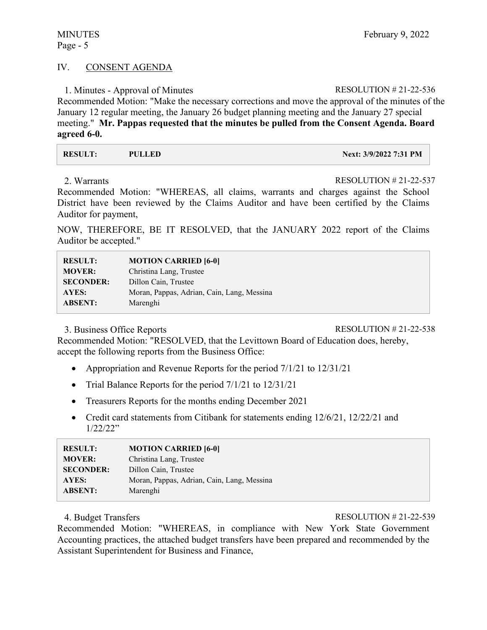### IV. CONSENT AGENDA

1. Minutes - Approval of Minutes RESOLUTION # 21-22-536

Recommended Motion: "Make the necessary corrections and move the approval of the minutes of the January 12 regular meeting, the January 26 budget planning meeting and the January 27 special meeting." **Mr. Pappas requested that the minutes be pulled from the Consent Agenda. Board agreed 6-0.** 

| <b>RESULT:</b> | PULLED | Next: 3/9/2022 7:31 PM |
|----------------|--------|------------------------|
|                |        |                        |

2. Warrants RESOLUTION # 21-22-537

Recommended Motion: "WHEREAS, all claims, warrants and charges against the School District have been reviewed by the Claims Auditor and have been certified by the Claims Auditor for payment,

NOW, THEREFORE, BE IT RESOLVED, that the JANUARY 2022 report of the Claims Auditor be accepted."

| <b>RESULT:</b>   | <b>MOTION CARRIED [6-0]</b>                |
|------------------|--------------------------------------------|
| <b>MOVER:</b>    | Christina Lang, Trustee                    |
| <b>SECONDER:</b> | Dillon Cain, Trustee                       |
| AYES:            | Moran, Pappas, Adrian, Cain, Lang, Messina |
| <b>ABSENT:</b>   | Marenghi                                   |

3. Business Office Reports RESOLUTION # 21-22-538

Recommended Motion: "RESOLVED, that the Levittown Board of Education does, hereby, accept the following reports from the Business Office:

- Appropriation and Revenue Reports for the period  $7/1/21$  to  $12/31/21$
- Trial Balance Reports for the period  $7/1/21$  to  $12/31/21$
- Treasurers Reports for the months ending December 2021
- Credit card statements from Citibank for statements ending  $12/6/21$ ,  $12/22/21$  and 1/22/22"

| <b>RESULT:</b>   | <b>MOTION CARRIED [6-0]</b>                |
|------------------|--------------------------------------------|
| <b>MOVER:</b>    | Christina Lang, Trustee                    |
| <b>SECONDER:</b> | Dillon Cain, Trustee                       |
| AYES:            | Moran, Pappas, Adrian, Cain, Lang, Messina |
| <b>ABSENT:</b>   | Marenghi                                   |

4. Budget Transfers RESOLUTION # 21-22-539

Recommended Motion: "WHEREAS, in compliance with New York State Government Accounting practices, the attached budget transfers have been prepared and recommended by the Assistant Superintendent for Business and Finance,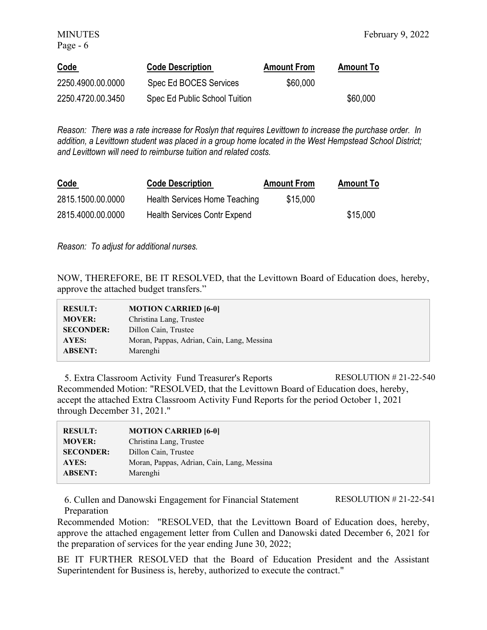| <b>Code</b>       | <b>Code Description</b>       | <b>Amount From</b> | <b>Amount To</b> |
|-------------------|-------------------------------|--------------------|------------------|
| 2250.4900.00.0000 | Spec Ed BOCES Services        | \$60,000           |                  |
| 2250.4720.00.3450 | Spec Ed Public School Tuition |                    | \$60,000         |

*Reason: There was a rate increase for Roslyn that requires Levittown to increase the purchase order. In addition, a Levittown student was placed in a group home located in the West Hempstead School District; and Levittown will need to reimburse tuition and related costs.* 

| <b>Code</b>       | <b>Code Description</b>             | <b>Amount From</b> | <b>Amount To</b> |
|-------------------|-------------------------------------|--------------------|------------------|
| 2815.1500.00.0000 | Health Services Home Teaching       | \$15,000           |                  |
| 2815.4000.00.0000 | <b>Health Services Contr Expend</b> |                    | \$15,000         |

*Reason: To adjust for additional nurses.* 

NOW, THEREFORE, BE IT RESOLVED, that the Levittown Board of Education does, hereby, approve the attached budget transfers."

| <b>RESULT:</b>   | <b>MOTION CARRIED [6-0]</b>                |
|------------------|--------------------------------------------|
| <b>MOVER:</b>    | Christina Lang, Trustee                    |
| <b>SECONDER:</b> | Dillon Cain, Trustee                       |
| AYES:            | Moran, Pappas, Adrian, Cain, Lang, Messina |
| <b>ABSENT:</b>   | Marenghi                                   |

5. Extra Classroom Activity Fund Treasurer's Reports RESOLUTION # 21-22-540 Recommended Motion: "RESOLVED, that the Levittown Board of Education does, hereby, accept the attached Extra Classroom Activity Fund Reports for the period October 1, 2021 through December 31, 2021."

| <b>RESULT:</b>   | <b>MOTION CARRIED [6-0]</b>                |
|------------------|--------------------------------------------|
| <b>MOVER:</b>    | Christina Lang, Trustee                    |
| <b>SECONDER:</b> | Dillon Cain, Trustee                       |
| AYES:            | Moran, Pappas, Adrian, Cain, Lang, Messina |
| <b>ABSENT:</b>   | Marenghi                                   |
|                  |                                            |

6. Cullen and Danowski Engagement for Financial Statement Preparation RESOLUTION # 21-22-541

Recommended Motion: "RESOLVED, that the Levittown Board of Education does, hereby, approve the attached engagement letter from Cullen and Danowski dated December 6, 2021 for the preparation of services for the year ending June 30, 2022;

BE IT FURTHER RESOLVED that the Board of Education President and the Assistant Superintendent for Business is, hereby, authorized to execute the contract."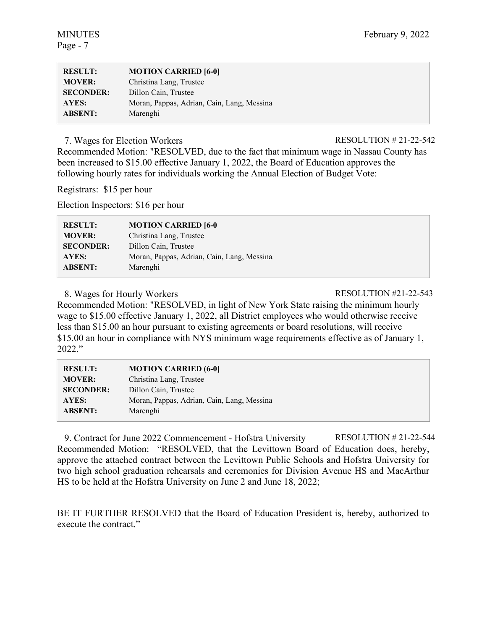| <b>RESULT:</b>   | <b>MOTION CARRIED [6-0]</b>                |
|------------------|--------------------------------------------|
| <b>MOVER:</b>    | Christina Lang, Trustee                    |
| <b>SECONDER:</b> | Dillon Cain, Trustee                       |
| AYES:            | Moran, Pappas, Adrian, Cain, Lang, Messina |
| <b>ABSENT:</b>   | Marenghi                                   |

7. Wages for Election Workers RESOLUTION # 21-22-542

Recommended Motion: "RESOLVED, due to the fact that minimum wage in Nassau County has been increased to \$15.00 effective January 1, 2022, the Board of Education approves the following hourly rates for individuals working the Annual Election of Budget Vote:

Registrars: \$15 per hour

Election Inspectors: \$16 per hour

| <b>RESULT:</b>   | <b>MOTION CARRIED [6-0]</b>                |
|------------------|--------------------------------------------|
| <b>MOVER:</b>    | Christina Lang, Trustee                    |
| <b>SECONDER:</b> | Dillon Cain, Trustee                       |
| AYES:            | Moran, Pappas, Adrian, Cain, Lang, Messina |
| <b>ABSENT:</b>   | Marenghi                                   |

8. Wages for Hourly Workers RESOLUTION #21-22-543

Recommended Motion: "RESOLVED, in light of New York State raising the minimum hourly wage to \$15.00 effective January 1, 2022, all District employees who would otherwise receive less than \$15.00 an hour pursuant to existing agreements or board resolutions, will receive \$15.00 an hour in compliance with NYS minimum wage requirements effective as of January 1, 2022."

| <b>RESULT:</b>   | <b>MOTION CARRIED (6-0)</b>                |
|------------------|--------------------------------------------|
| <b>MOVER:</b>    | Christina Lang, Trustee                    |
| <b>SECONDER:</b> | Dillon Cain, Trustee                       |
| <b>AYES:</b>     | Moran, Pappas, Adrian, Cain, Lang, Messina |
| <b>ABSENT:</b>   | Marenghi                                   |
|                  |                                            |

9. Contract for June 2022 Commencement - Hofstra University RESOLUTION # 21-22-544 Recommended Motion: "RESOLVED, that the Levittown Board of Education does, hereby, approve the attached contract between the Levittown Public Schools and Hofstra University for two high school graduation rehearsals and ceremonies for Division Avenue HS and MacArthur HS to be held at the Hofstra University on June 2 and June 18, 2022;

BE IT FURTHER RESOLVED that the Board of Education President is, hereby, authorized to execute the contract."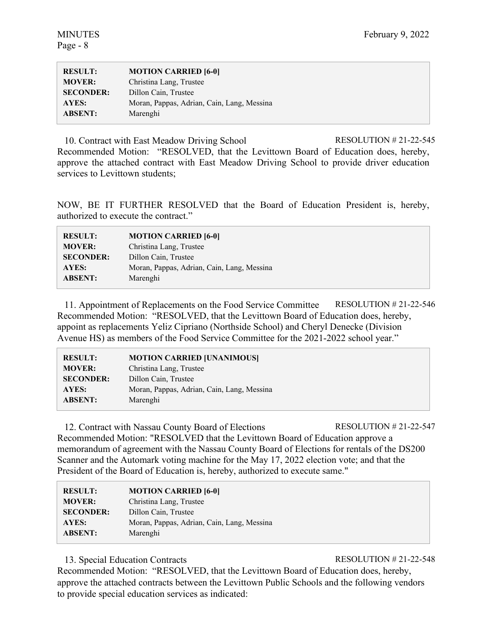| <b>RESULT:</b>   | <b>MOTION CARRIED [6-0]</b>                |
|------------------|--------------------------------------------|
| <b>MOVER:</b>    | Christina Lang, Trustee                    |
| <b>SECONDER:</b> | Dillon Cain, Trustee                       |
| AYES:            | Moran, Pappas, Adrian, Cain, Lang, Messina |
| <b>ABSENT:</b>   | Marenghi                                   |

10. Contract with East Meadow Driving School RESOLUTION # 21-22-545 Recommended Motion: "RESOLVED, that the Levittown Board of Education does, hereby, approve the attached contract with East Meadow Driving School to provide driver education services to Levittown students;

NOW, BE IT FURTHER RESOLVED that the Board of Education President is, hereby, authorized to execute the contract."

| <b>RESULT:</b>   | <b>MOTION CARRIED [6-0]</b>                |
|------------------|--------------------------------------------|
| <b>MOVER:</b>    | Christina Lang, Trustee                    |
| <b>SECONDER:</b> | Dillon Cain, Trustee                       |
| AYES:            | Moran, Pappas, Adrian, Cain, Lang, Messina |
| <b>ABSENT:</b>   | Marenghi                                   |
|                  |                                            |

11. Appointment of Replacements on the Food Service Committee RESOLUTION # 21-22-546 Recommended Motion: "RESOLVED, that the Levittown Board of Education does, hereby, appoint as replacements Yeliz Cipriano (Northside School) and Cheryl Denecke (Division Avenue HS) as members of the Food Service Committee for the 2021-2022 school year."

| <b>RESULT:</b>   | <b>MOTION CARRIED [UNANIMOUS]</b>          |
|------------------|--------------------------------------------|
| <b>MOVER:</b>    | Christina Lang, Trustee                    |
| <b>SECONDER:</b> | Dillon Cain, Trustee                       |
| AYES:            | Moran, Pappas, Adrian, Cain, Lang, Messina |
| <b>ABSENT:</b>   | Marenghi                                   |

12. Contract with Nassau County Board of Elections RESOLUTION # 21-22-547 Recommended Motion: "RESOLVED that the Levittown Board of Education approve a memorandum of agreement with the Nassau County Board of Elections for rentals of the DS200 Scanner and the Automark voting machine for the May 17, 2022 election vote; and that the President of the Board of Education is, hereby, authorized to execute same."

| <b>RESULT:</b>   | <b>MOTION CARRIED [6-0]</b>                |
|------------------|--------------------------------------------|
| <b>MOVER:</b>    | Christina Lang, Trustee                    |
| <b>SECONDER:</b> | Dillon Cain, Trustee                       |
| AYES:            | Moran, Pappas, Adrian, Cain, Lang, Messina |
| <b>ABSENT:</b>   | Marenghi                                   |

13. Special Education Contracts RESOLUTION # 21-22-548

Recommended Motion: "RESOLVED, that the Levittown Board of Education does, hereby, approve the attached contracts between the Levittown Public Schools and the following vendors to provide special education services as indicated: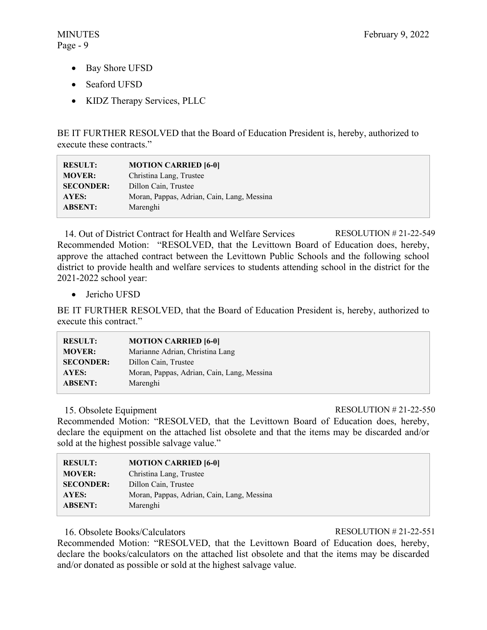- Bay Shore UFSD
- Seaford UFSD
- KIDZ Therapy Services, PLLC

BE IT FURTHER RESOLVED that the Board of Education President is, hereby, authorized to execute these contracts."

| <b>RESULT:</b>   | <b>MOTION CARRIED [6-0]</b>                |
|------------------|--------------------------------------------|
| <b>MOVER:</b>    | Christina Lang, Trustee                    |
| <b>SECONDER:</b> | Dillon Cain, Trustee                       |
| AYES:            | Moran, Pappas, Adrian, Cain, Lang, Messina |
| <b>ABSENT:</b>   | Marenghi                                   |

14. Out of District Contract for Health and Welfare Services RESOLUTION # 21-22-549 Recommended Motion: "RESOLVED, that the Levittown Board of Education does, hereby, approve the attached contract between the Levittown Public Schools and the following school district to provide health and welfare services to students attending school in the district for the 2021-2022 school year:

• Jericho UFSD

BE IT FURTHER RESOLVED, that the Board of Education President is, hereby, authorized to execute this contract."

| <b>RESULT:</b>   | <b>MOTION CARRIED [6-0]</b>                |
|------------------|--------------------------------------------|
| <b>MOVER:</b>    | Marianne Adrian, Christina Lang            |
| <b>SECONDER:</b> | Dillon Cain, Trustee                       |
| AYES:            | Moran, Pappas, Adrian, Cain, Lang, Messina |
| <b>ABSENT:</b>   | Marenghi                                   |

15. Obsolete Equipment RESOLUTION # 21-22-550

Recommended Motion: "RESOLVED, that the Levittown Board of Education does, hereby, declare the equipment on the attached list obsolete and that the items may be discarded and/or sold at the highest possible salvage value."

| <b>RESULT:</b>   | <b>MOTION CARRIED [6-0]</b>                |
|------------------|--------------------------------------------|
| <b>MOVER:</b>    | Christina Lang, Trustee                    |
| <b>SECONDER:</b> | Dillon Cain, Trustee                       |
| AYES:            | Moran, Pappas, Adrian, Cain, Lang, Messina |
| <b>ABSENT:</b>   | Marenghi                                   |

# 16. Obsolete Books/Calculators RESOLUTION # 21-22-551

Recommended Motion: "RESOLVED, that the Levittown Board of Education does, hereby, declare the books/calculators on the attached list obsolete and that the items may be discarded and/or donated as possible or sold at the highest salvage value.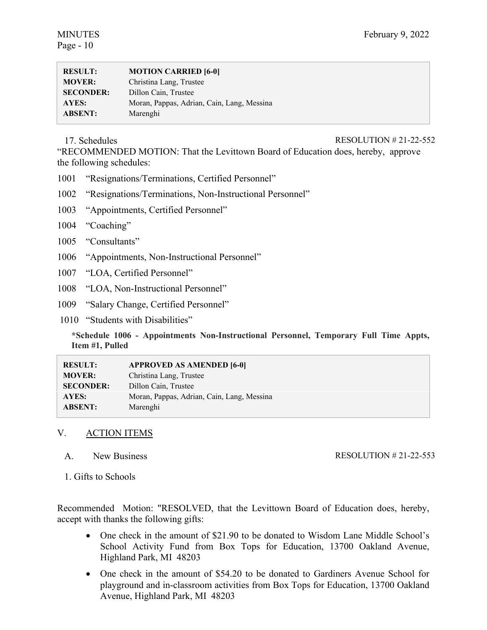| <b>RESULT:</b>   | <b>MOTION CARRIED [6-0]</b>                |
|------------------|--------------------------------------------|
| <b>MOVER:</b>    | Christina Lang, Trustee                    |
| <b>SECONDER:</b> | Dillon Cain, Trustee                       |
| AYES:            | Moran, Pappas, Adrian, Cain, Lang, Messina |
| <b>ABSENT:</b>   | Marenghi                                   |

#### 17. Schedules RESOLUTION # 21-22-552

"RECOMMENDED MOTION: That the Levittown Board of Education does, hereby, approve the following schedules:

- 1001 "Resignations/Terminations, Certified Personnel"
- 1002 "Resignations/Terminations, Non-Instructional Personnel"
- 1003 "Appointments, Certified Personnel"
- 1004 "Coaching"
- 1005 "Consultants"
- 1006 "Appointments, Non-Instructional Personnel"
- 1007 "LOA, Certified Personnel"
- 1008 "LOA, Non-Instructional Personnel"
- 1009 "Salary Change, Certified Personnel"
- 1010 "Students with Disabilities"

**\*Schedule 1006 - Appointments Non-Instructional Personnel, Temporary Full Time Appts, Item #1, Pulled** 

| <b>RESULT:</b>   | <b>APPROVED AS AMENDED [6-0]</b>           |
|------------------|--------------------------------------------|
| <b>MOVER:</b>    | Christina Lang, Trustee                    |
| <b>SECONDER:</b> | Dillon Cain, Trustee                       |
| AYES:            | Moran, Pappas, Adrian, Cain, Lang, Messina |
| <b>ABSENT:</b>   | Marenghi                                   |

# V. ACTION ITEMS

A. New Business

RESOLUTION # 21-22-553

1. Gifts to Schools

Recommended Motion: "RESOLVED, that the Levittown Board of Education does, hereby, accept with thanks the following gifts:

- One check in the amount of \$21.90 to be donated to Wisdom Lane Middle School's School Activity Fund from Box Tops for Education, 13700 Oakland Avenue, Highland Park, MI 48203
- One check in the amount of \$54.20 to be donated to Gardiners Avenue School for playground and in-classroom activities from Box Tops for Education, 13700 Oakland Avenue, Highland Park, MI 48203